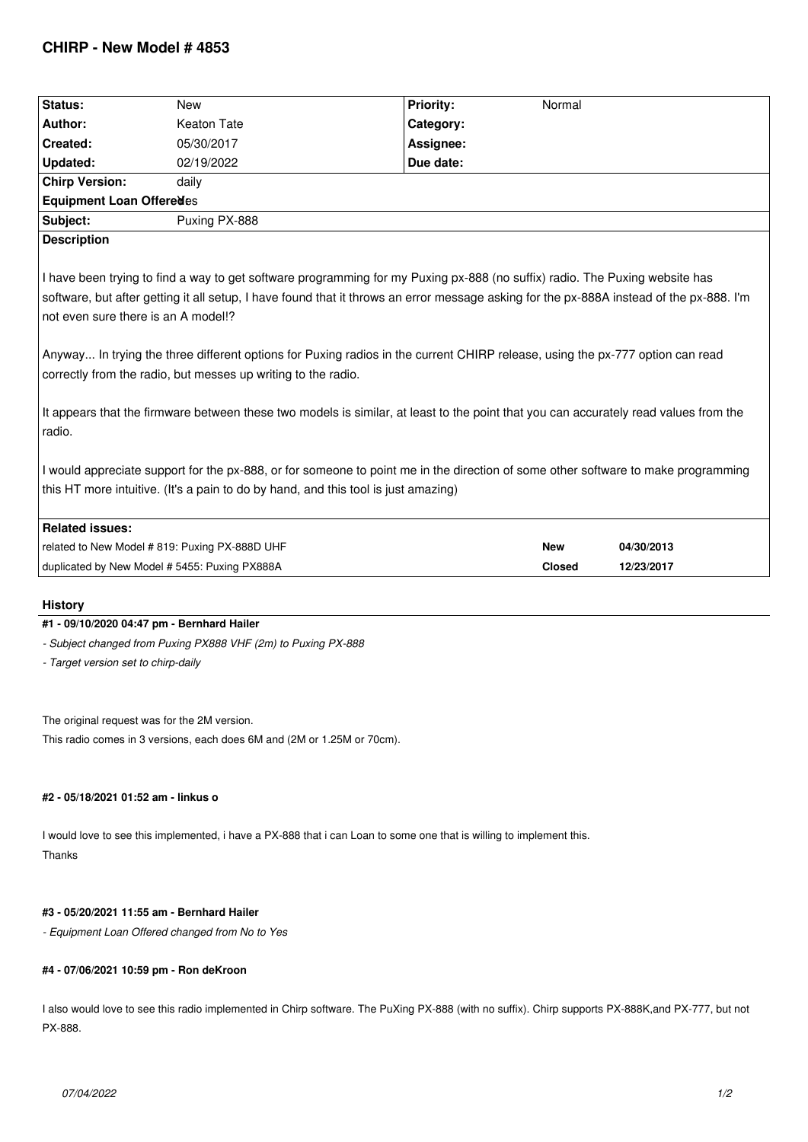| Status:                                                                                                                                                                                                                                                                                                                                                                                                                                                                                                                                                                                                                                                            | <b>New</b>    | <b>Priority:</b> | Normal        |            |
|--------------------------------------------------------------------------------------------------------------------------------------------------------------------------------------------------------------------------------------------------------------------------------------------------------------------------------------------------------------------------------------------------------------------------------------------------------------------------------------------------------------------------------------------------------------------------------------------------------------------------------------------------------------------|---------------|------------------|---------------|------------|
| Author:                                                                                                                                                                                                                                                                                                                                                                                                                                                                                                                                                                                                                                                            | Keaton Tate   | Category:        |               |            |
| Created:                                                                                                                                                                                                                                                                                                                                                                                                                                                                                                                                                                                                                                                           | 05/30/2017    | Assignee:        |               |            |
| <b>Updated:</b>                                                                                                                                                                                                                                                                                                                                                                                                                                                                                                                                                                                                                                                    | 02/19/2022    | Due date:        |               |            |
| <b>Chirp Version:</b>                                                                                                                                                                                                                                                                                                                                                                                                                                                                                                                                                                                                                                              | daily         |                  |               |            |
| <b>Equipment Loan Offeredes</b>                                                                                                                                                                                                                                                                                                                                                                                                                                                                                                                                                                                                                                    |               |                  |               |            |
| Subject:                                                                                                                                                                                                                                                                                                                                                                                                                                                                                                                                                                                                                                                           | Puxing PX-888 |                  |               |            |
| <b>Description</b>                                                                                                                                                                                                                                                                                                                                                                                                                                                                                                                                                                                                                                                 |               |                  |               |            |
| I have been trying to find a way to get software programming for my Puxing px-888 (no suffix) radio. The Puxing website has<br>software, but after getting it all setup, I have found that it throws an error message asking for the px-888A instead of the px-888. I'm<br>not even sure there is an A model!?<br>Anyway In trying the three different options for Puxing radios in the current CHIRP release, using the px-777 option can read<br>correctly from the radio, but messes up writing to the radio.<br>It appears that the firmware between these two models is similar, at least to the point that you can accurately read values from the<br>radio. |               |                  |               |            |
| I would appreciate support for the px-888, or for someone to point me in the direction of some other software to make programming                                                                                                                                                                                                                                                                                                                                                                                                                                                                                                                                  |               |                  |               |            |
| this HT more intuitive. (It's a pain to do by hand, and this tool is just amazing)                                                                                                                                                                                                                                                                                                                                                                                                                                                                                                                                                                                 |               |                  |               |            |
| <b>Related issues:</b>                                                                                                                                                                                                                                                                                                                                                                                                                                                                                                                                                                                                                                             |               |                  |               |            |
| related to New Model # 819: Puxing PX-888D UHF                                                                                                                                                                                                                                                                                                                                                                                                                                                                                                                                                                                                                     |               |                  | <b>New</b>    | 04/30/2013 |
| duplicated by New Model # 5455: Puxing PX888A                                                                                                                                                                                                                                                                                                                                                                                                                                                                                                                                                                                                                      |               |                  | <b>Closed</b> | 12/23/2017 |
| <b>History</b>                                                                                                                                                                                                                                                                                                                                                                                                                                                                                                                                                                                                                                                     |               |                  |               |            |

### **#1 - 09/10/2020 04:47 pm - Bernhard Hailer**

*- Subject changed from Puxing PX888 VHF (2m) to Puxing PX-888*

*- Target version set to chirp-daily*

*The original request was for the 2M version.*

*This radio comes in 3 versions, each does 6M and (2M or 1.25M or 70cm).*

# **#2 - 05/18/2021 01:52 am - linkus o**

*I would love to see this implemented, i have a PX-888 that i can Loan to some one that is willing to implement this. Thanks*

## **#3 - 05/20/2021 11:55 am - Bernhard Hailer**

*- Equipment Loan Offered changed from No to Yes*

#### **#4 - 07/06/2021 10:59 pm - Ron deKroon**

*I also would love to see this radio implemented in Chirp software. The PuXing PX-888 (with no suffix). Chirp supports PX-888K,and PX-777, but not PX-888.*